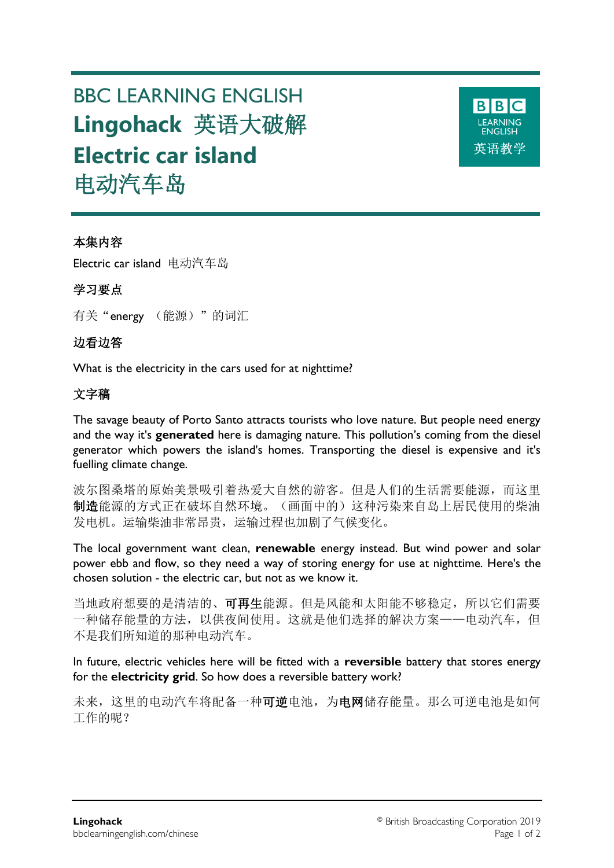# BBC LEARNING ENGLISH **Lingohack** 英语大破解 **Electric car island** 电动汽车岛



## 本集内容

Electric car island 电动汽车岛

## 学习要点

有关"energy (能源)"的词汇

## 边看边答

What is the electricity in the cars used for at nighttime?

# 文字稿

The savage beauty of Porto Santo attracts tourists who love nature. But people need energy and the way it's **generated** here is damaging nature. This pollution's coming from the diesel generator which powers the island's homes. Transporting the diesel is expensive and it's fuelling climate change.

波尔图桑塔的原始美景吸引着热爱大自然的游客。但是人们的生活需要能源,而这里 制造能源的方式正在破坏自然环境。(画面中的)这种污染来自岛上居民使用的柴油 发电机。运输柴油非常昂贵,运输过程也加剧了气候变化。

The local government want clean, **renewable** energy instead. But wind power and solar power ebb and flow, so they need a way of storing energy for use at nighttime. Here's the chosen solution - the electric car, but not as we know it.

当地政府想要的是清洁的、可再生能源。但是风能和太阳能不够稳定,所以它们需要 一种储存能量的方法,以供夜间使用。这就是他们选择的解决方案——电动汽车,但 不是我们所知道的那种电动汽车。

In future, electric vehicles here will be fitted with a **reversible** battery that stores energy for the **electricity grid**. So how does a reversible battery work?

未来,这里的电动汽车将配备一种可逆电池,为电网储存能量。那么可逆电池是如何 工作的呢?